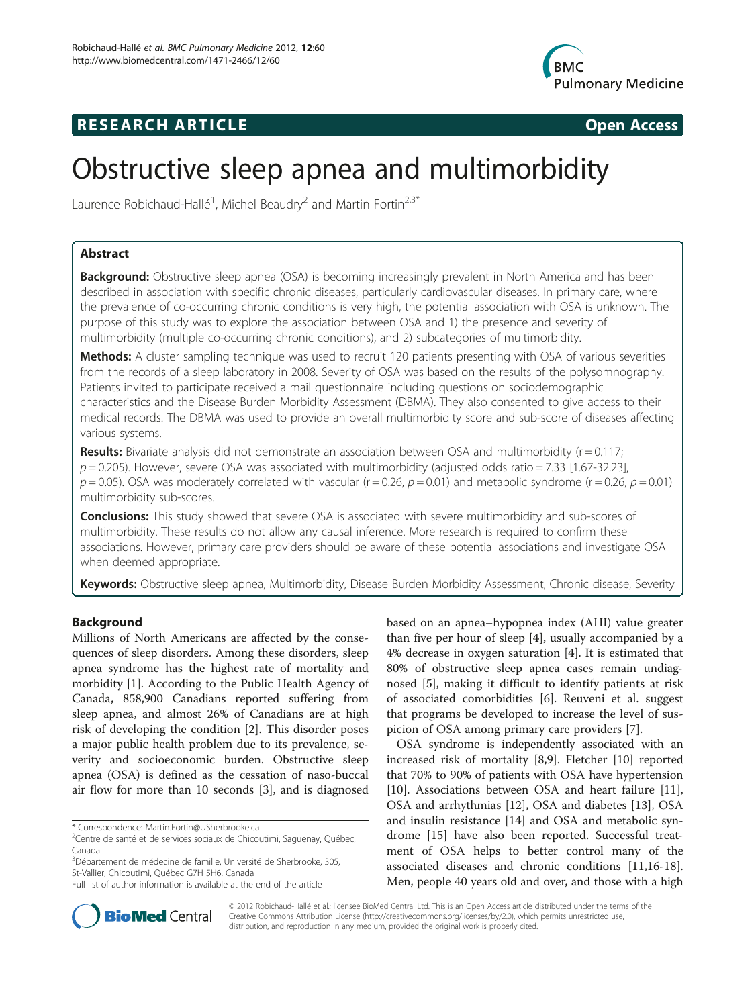

## **RESEARCH ARTICLE Example 2014 CONSIDERING CONSIDERING CONSIDERING CONSIDERING CONSIDERING CONSIDERING CONSIDERING CONSIDERING CONSIDERING CONSIDERING CONSIDERING CONSIDERING CONSIDERING CONSIDERING CONSIDERING CONSIDE**

# Obstructive sleep apnea and multimorbidity

Laurence Robichaud-Hallé<sup>1</sup>, Michel Beaudry<sup>2</sup> and Martin Fortin<sup>2,3\*</sup>

### Abstract

Background: Obstructive sleep apnea (OSA) is becoming increasingly prevalent in North America and has been described in association with specific chronic diseases, particularly cardiovascular diseases. In primary care, where the prevalence of co-occurring chronic conditions is very high, the potential association with OSA is unknown. The purpose of this study was to explore the association between OSA and 1) the presence and severity of multimorbidity (multiple co-occurring chronic conditions), and 2) subcategories of multimorbidity.

Methods: A cluster sampling technique was used to recruit 120 patients presenting with OSA of various severities from the records of a sleep laboratory in 2008. Severity of OSA was based on the results of the polysomnography. Patients invited to participate received a mail questionnaire including questions on sociodemographic characteristics and the Disease Burden Morbidity Assessment (DBMA). They also consented to give access to their medical records. The DBMA was used to provide an overall multimorbidity score and sub-score of diseases affecting various systems.

**Results:** Bivariate analysis did not demonstrate an association between OSA and multimorbidity ( $r = 0.117$ ;  $p = 0.205$ ). However, severe OSA was associated with multimorbidity (adjusted odds ratio = 7.33 [1.67-32.23],  $p = 0.05$ ). OSA was moderately correlated with vascular (r = 0.26,  $p = 0.01$ ) and metabolic syndrome (r = 0.26,  $p = 0.01$ ) multimorbidity sub-scores.

**Conclusions:** This study showed that severe OSA is associated with severe multimorbidity and sub-scores of multimorbidity. These results do not allow any causal inference. More research is required to confirm these associations. However, primary care providers should be aware of these potential associations and investigate OSA when deemed appropriate.

Keywords: Obstructive sleep apnea, Multimorbidity, Disease Burden Morbidity Assessment, Chronic disease, Severity

#### Background

Millions of North Americans are affected by the consequences of sleep disorders. Among these disorders, sleep apnea syndrome has the highest rate of mortality and morbidity [\[1\]](#page-5-0). According to the Public Health Agency of Canada, 858,900 Canadians reported suffering from sleep apnea, and almost 26% of Canadians are at high risk of developing the condition [\[2\]](#page-5-0). This disorder poses a major public health problem due to its prevalence, severity and socioeconomic burden. Obstructive sleep apnea (OSA) is defined as the cessation of naso-buccal air flow for more than 10 seconds [\[3\]](#page-5-0), and is diagnosed

based on an apnea–hypopnea index (AHI) value greater than five per hour of sleep [\[4\]](#page-5-0), usually accompanied by a 4% decrease in oxygen saturation [[4\]](#page-5-0). It is estimated that 80% of obstructive sleep apnea cases remain undiagnosed [[5\]](#page-5-0), making it difficult to identify patients at risk of associated comorbidities [[6](#page-5-0)]. Reuveni et al. suggest that programs be developed to increase the level of suspicion of OSA among primary care providers [\[7](#page-5-0)].

OSA syndrome is independently associated with an increased risk of mortality [\[8,9\]](#page-5-0). Fletcher [\[10](#page-5-0)] reported that 70% to 90% of patients with OSA have hypertension [[10\]](#page-5-0). Associations between OSA and heart failure [\[11](#page-5-0)], OSA and arrhythmias [\[12](#page-5-0)], OSA and diabetes [[13](#page-5-0)], OSA and insulin resistance [\[14\]](#page-5-0) and OSA and metabolic syndrome [[15\]](#page-5-0) have also been reported. Successful treatment of OSA helps to better control many of the associated diseases and chronic conditions [\[11,16-18](#page-5-0)]. Men, people 40 years old and over, and those with a high



© 2012 Robichaud-Hallé et al.; licensee BioMed Central Ltd. This is an Open Access article distributed under the terms of the Creative Commons Attribution License (<http://creativecommons.org/licenses/by/2.0>), which permits unrestricted use, distribution, and reproduction in any medium, provided the original work is properly cited.

<sup>\*</sup> Correspondence: [Martin.Fortin@USherbrooke.ca](mailto:Martin.Fortin@USherbrooke.ca) <sup>2</sup>

<sup>&</sup>lt;sup>2</sup>Centre de santé et de services sociaux de Chicoutimi, Saguenay, Québec, Canada

<sup>&</sup>lt;sup>3</sup>Département de médecine de famille, Université de Sherbrooke, 305, St-Vallier, Chicoutimi, Québec G7H 5H6, Canada

Full list of author information is available at the end of the article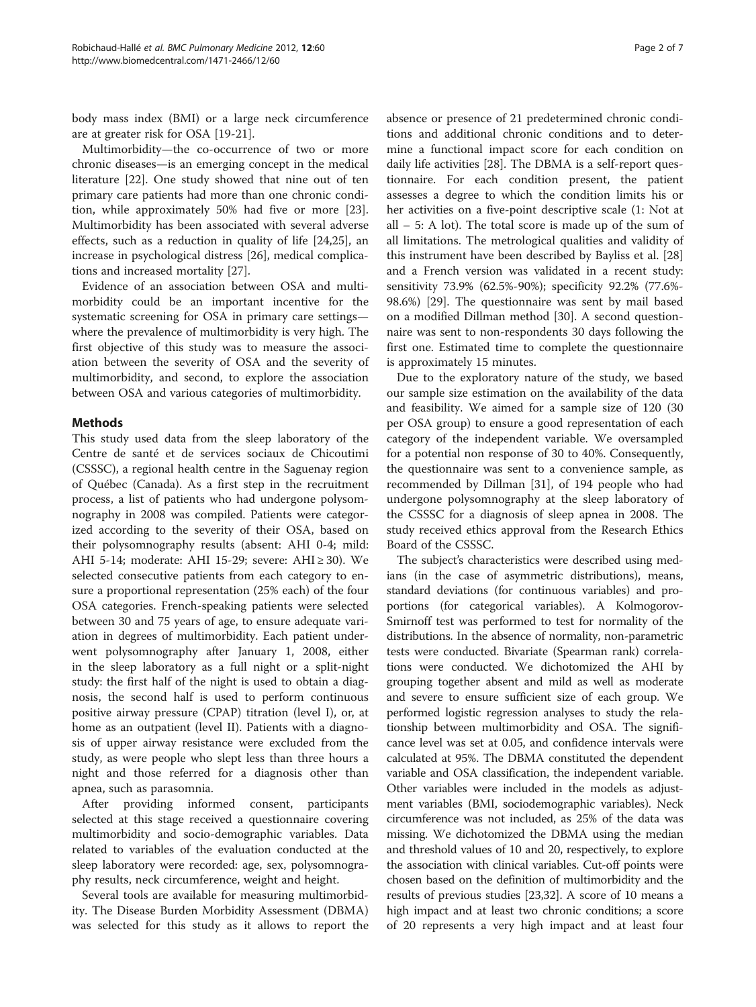body mass index (BMI) or a large neck circumference are at greater risk for OSA [\[19-21](#page-5-0)].

Multimorbidity—the co-occurrence of two or more chronic diseases—is an emerging concept in the medical literature [[22](#page-5-0)]. One study showed that nine out of ten primary care patients had more than one chronic condition, while approximately 50% had five or more [\[23](#page-5-0)]. Multimorbidity has been associated with several adverse effects, such as a reduction in quality of life [[24,25\]](#page-5-0), an increase in psychological distress [[26](#page-5-0)], medical complications and increased mortality [\[27](#page-5-0)].

Evidence of an association between OSA and multimorbidity could be an important incentive for the systematic screening for OSA in primary care settings where the prevalence of multimorbidity is very high. The first objective of this study was to measure the association between the severity of OSA and the severity of multimorbidity, and second, to explore the association between OSA and various categories of multimorbidity.

#### Methods

This study used data from the sleep laboratory of the Centre de santé et de services sociaux de Chicoutimi (CSSSC), a regional health centre in the Saguenay region of Québec (Canada). As a first step in the recruitment process, a list of patients who had undergone polysomnography in 2008 was compiled. Patients were categorized according to the severity of their OSA, based on their polysomnography results (absent: AHI 0-4; mild: AHI 5-14; moderate: AHI 15-29; severe: AHI ≥ 30). We selected consecutive patients from each category to ensure a proportional representation (25% each) of the four OSA categories. French-speaking patients were selected between 30 and 75 years of age, to ensure adequate variation in degrees of multimorbidity. Each patient underwent polysomnography after January 1, 2008, either in the sleep laboratory as a full night or a split-night study: the first half of the night is used to obtain a diagnosis, the second half is used to perform continuous positive airway pressure (CPAP) titration (level I), or, at home as an outpatient (level II). Patients with a diagnosis of upper airway resistance were excluded from the study, as were people who slept less than three hours a night and those referred for a diagnosis other than apnea, such as parasomnia.

After providing informed consent, participants selected at this stage received a questionnaire covering multimorbidity and socio-demographic variables. Data related to variables of the evaluation conducted at the sleep laboratory were recorded: age, sex, polysomnography results, neck circumference, weight and height.

Several tools are available for measuring multimorbidity. The Disease Burden Morbidity Assessment (DBMA) was selected for this study as it allows to report the

absence or presence of 21 predetermined chronic conditions and additional chronic conditions and to determine a functional impact score for each condition on daily life activities [\[28\]](#page-5-0). The DBMA is a self-report questionnaire. For each condition present, the patient assesses a degree to which the condition limits his or her activities on a five-point descriptive scale (1: Not at all – 5: A lot). The total score is made up of the sum of all limitations. The metrological qualities and validity of this instrument have been described by Bayliss et al. [[28](#page-5-0)] and a French version was validated in a recent study: sensitivity 73.9% (62.5%-90%); specificity 92.2% (77.6%- 98.6%) [\[29\]](#page-5-0). The questionnaire was sent by mail based on a modified Dillman method [[30](#page-5-0)]. A second questionnaire was sent to non-respondents 30 days following the first one. Estimated time to complete the questionnaire is approximately 15 minutes.

Due to the exploratory nature of the study, we based our sample size estimation on the availability of the data and feasibility. We aimed for a sample size of 120 (30 per OSA group) to ensure a good representation of each category of the independent variable. We oversampled for a potential non response of 30 to 40%. Consequently, the questionnaire was sent to a convenience sample, as recommended by Dillman [\[31\]](#page-5-0), of 194 people who had undergone polysomnography at the sleep laboratory of the CSSSC for a diagnosis of sleep apnea in 2008. The study received ethics approval from the Research Ethics Board of the CSSSC.

The subject's characteristics were described using medians (in the case of asymmetric distributions), means, standard deviations (for continuous variables) and proportions (for categorical variables). A Kolmogorov-Smirnoff test was performed to test for normality of the distributions. In the absence of normality, non-parametric tests were conducted. Bivariate (Spearman rank) correlations were conducted. We dichotomized the AHI by grouping together absent and mild as well as moderate and severe to ensure sufficient size of each group. We performed logistic regression analyses to study the relationship between multimorbidity and OSA. The significance level was set at 0.05, and confidence intervals were calculated at 95%. The DBMA constituted the dependent variable and OSA classification, the independent variable. Other variables were included in the models as adjustment variables (BMI, sociodemographic variables). Neck circumference was not included, as 25% of the data was missing. We dichotomized the DBMA using the median and threshold values of 10 and 20, respectively, to explore the association with clinical variables. Cut-off points were chosen based on the definition of multimorbidity and the results of previous studies [[23,32\]](#page-5-0). A score of 10 means a high impact and at least two chronic conditions; a score of 20 represents a very high impact and at least four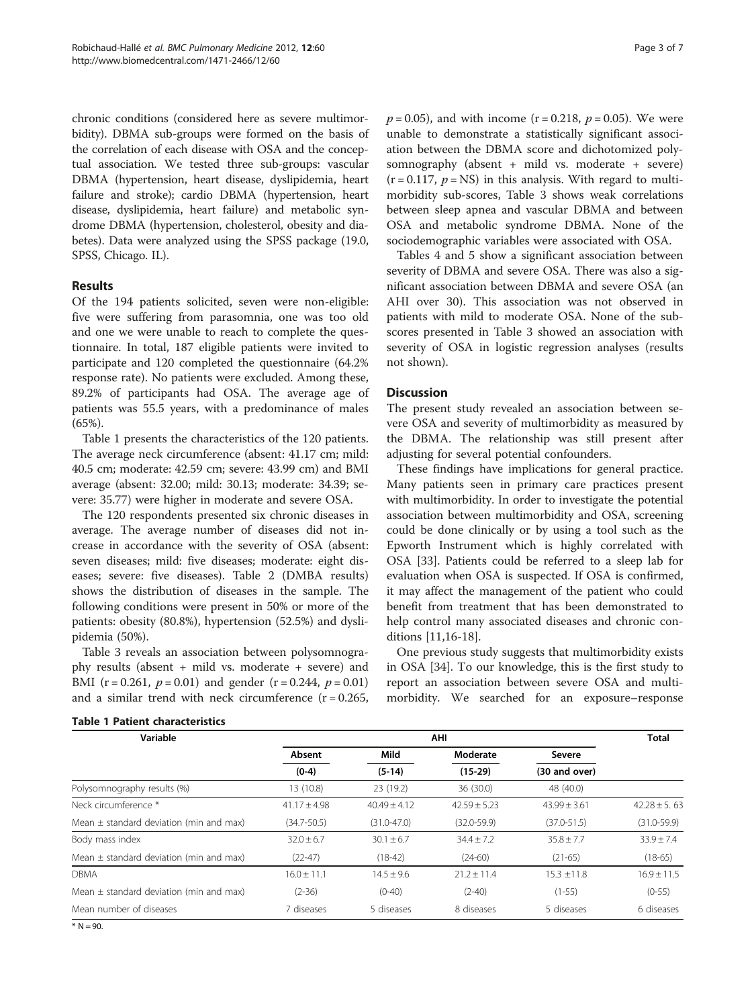chronic conditions (considered here as severe multimorbidity). DBMA sub-groups were formed on the basis of the correlation of each disease with OSA and the conceptual association. We tested three sub-groups: vascular DBMA (hypertension, heart disease, dyslipidemia, heart failure and stroke); cardio DBMA (hypertension, heart disease, dyslipidemia, heart failure) and metabolic syndrome DBMA (hypertension, cholesterol, obesity and diabetes). Data were analyzed using the SPSS package (19.0, SPSS, Chicago. IL).

#### Results

Of the 194 patients solicited, seven were non-eligible: five were suffering from parasomnia, one was too old and one we were unable to reach to complete the questionnaire. In total, 187 eligible patients were invited to participate and 120 completed the questionnaire (64.2% response rate). No patients were excluded. Among these, 89.2% of participants had OSA. The average age of patients was 55.5 years, with a predominance of males (65%).

Table 1 presents the characteristics of the 120 patients. The average neck circumference (absent: 41.17 cm; mild: 40.5 cm; moderate: 42.59 cm; severe: 43.99 cm) and BMI average (absent: 32.00; mild: 30.13; moderate: 34.39; severe: 35.77) were higher in moderate and severe OSA.

The 120 respondents presented six chronic diseases in average. The average number of diseases did not increase in accordance with the severity of OSA (absent: seven diseases; mild: five diseases; moderate: eight diseases; severe: five diseases). Table [2](#page-3-0) (DMBA results) shows the distribution of diseases in the sample. The following conditions were present in 50% or more of the patients: obesity (80.8%), hypertension (52.5%) and dyslipidemia (50%).

Table [3](#page-3-0) reveals an association between polysomnography results (absent + mild vs. moderate + severe) and BMI (r = 0.261,  $p = 0.01$ ) and gender (r = 0.244,  $p = 0.01$ ) and a similar trend with neck circumference  $(r = 0.265,$   $p = 0.05$ ), and with income (r = 0.218,  $p = 0.05$ ). We were unable to demonstrate a statistically significant association between the DBMA score and dichotomized polysomnography (absent + mild vs. moderate + severe)  $(r = 0.117, p = NS)$  in this analysis. With regard to multimorbidity sub-scores, Table [3](#page-3-0) shows weak correlations between sleep apnea and vascular DBMA and between OSA and metabolic syndrome DBMA. None of the sociodemographic variables were associated with OSA.

Tables [4](#page-3-0) and [5](#page-4-0) show a significant association between severity of DBMA and severe OSA. There was also a significant association between DBMA and severe OSA (an AHI over 30). This association was not observed in patients with mild to moderate OSA. None of the subscores presented in Table [3](#page-3-0) showed an association with severity of OSA in logistic regression analyses (results not shown).

#### **Discussion**

The present study revealed an association between severe OSA and severity of multimorbidity as measured by the DBMA. The relationship was still present after adjusting for several potential confounders.

These findings have implications for general practice. Many patients seen in primary care practices present with multimorbidity. In order to investigate the potential association between multimorbidity and OSA, screening could be done clinically or by using a tool such as the Epworth Instrument which is highly correlated with OSA [[33\]](#page-6-0). Patients could be referred to a sleep lab for evaluation when OSA is suspected. If OSA is confirmed, it may affect the management of the patient who could benefit from treatment that has been demonstrated to help control many associated diseases and chronic conditions [[11](#page-5-0),[16-18\]](#page-5-0).

One previous study suggests that multimorbidity exists in OSA [\[34\]](#page-6-0). To our knowledge, this is the first study to report an association between severe OSA and multimorbidity. We searched for an exposure–response

| Variable                                    | AHI               |                  |                       |                         | <b>Total</b>     |
|---------------------------------------------|-------------------|------------------|-----------------------|-------------------------|------------------|
|                                             | Absent<br>$(0-4)$ | Mild<br>$(5-14)$ | Moderate<br>$(15-29)$ | Severe<br>(30 and over) |                  |
|                                             |                   |                  |                       |                         |                  |
| Neck circumference *                        | $41.17 + 4.98$    | $40.49 + 4.12$   | $42.59 + 5.23$        | $43.99 + 3.61$          | $42.28 \pm 5.63$ |
| Mean $\pm$ standard deviation (min and max) | $(34.7 - 50.5)$   | $(31.0 - 47.0)$  | $(32.0 - 59.9)$       | $(37.0 - 51.5)$         | $(31.0 - 59.9)$  |
| Body mass index                             | $32.0 \pm 6.7$    | $30.1 \pm 6.7$   | $34.4 + 7.2$          | $35.8 \pm 7.7$          | $33.9 \pm 7.4$   |
| Mean $\pm$ standard deviation (min and max) | $(22-47)$         | $(18-42)$        | $(24-60)$             | $(21-65)$               | $(18-65)$        |
| <b>DBMA</b>                                 | $16.0 \pm 11.1$   | $14.5 + 9.6$     | $21.2 \pm 11.4$       | $15.3 \pm 11.8$         | $16.9 \pm 11.5$  |
| Mean $\pm$ standard deviation (min and max) | $(2-36)$          | $(0-40)$         | $(2-40)$              | $(1-55)$                | $(0-55)$         |
| Mean number of diseases                     | 7 diseases        | 5 diseases       | 8 diseases            | 5 diseases              | 6 diseases       |

Table 1 Patient characteristics

 $* N = 90.$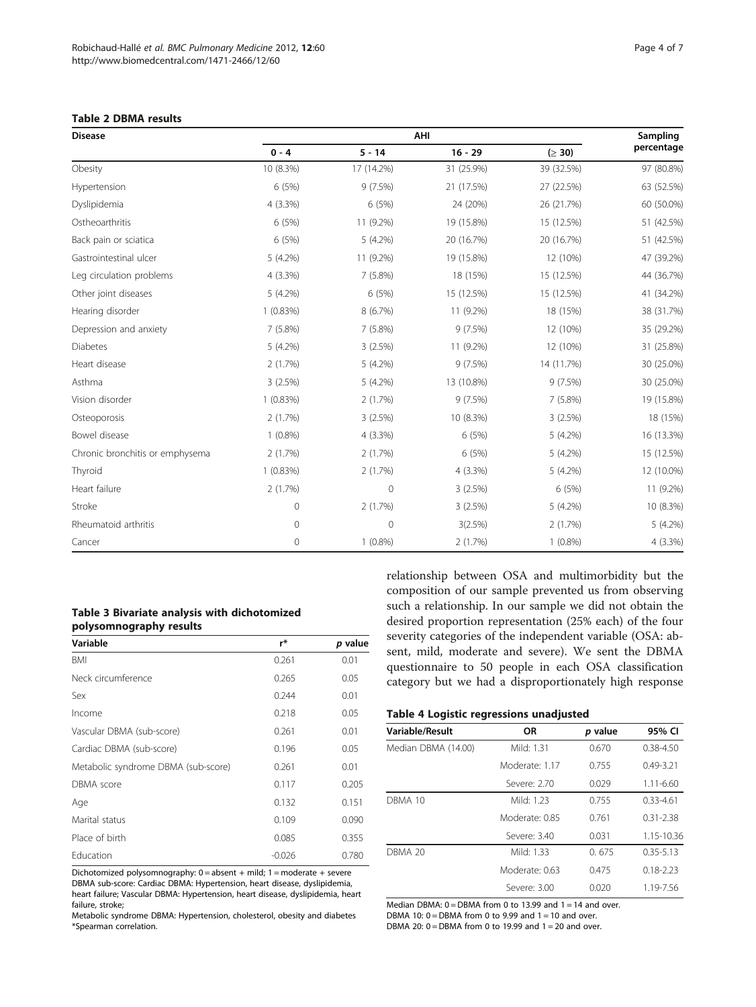#### <span id="page-3-0"></span>Table 2 DBMA results

| <b>Disease</b>                  | AHI        |             |            |            | Sampling   |
|---------------------------------|------------|-------------|------------|------------|------------|
|                                 | $0 - 4$    | $5 - 14$    | $16 - 29$  | (≥ 30)     | percentage |
| Obesity                         | 10 (8.3%)  | 17 (14.2%)  | 31 (25.9%) | 39 (32.5%) | 97 (80.8%) |
| Hypertension                    | 6 (5%)     | 9(7.5%)     | 21 (17.5%) | 27 (22.5%) | 63 (52.5%) |
| Dyslipidemia                    | 4 (3.3%)   | 6 (5%)      | 24 (20%)   | 26 (21.7%) | 60 (50.0%) |
| Ostheoarthritis                 | 6 (5%)     | 11 (9.2%)   | 19 (15.8%) | 15 (12.5%) | 51 (42.5%) |
| Back pain or sciatica           | 6 (5%)     | $5(4.2\%)$  | 20 (16.7%) | 20 (16.7%) | 51 (42.5%) |
| Gastrointestinal ulcer          | 5 (4.2%)   | 11 (9.2%)   | 19 (15.8%) | 12 (10%)   | 47 (39.2%) |
| Leg circulation problems        | 4 (3.3%)   | 7 (5.8%)    | 18 (15%)   | 15 (12.5%) | 44 (36.7%) |
| Other joint diseases            | 5 (4.2%)   | 6 (5%)      | 15 (12.5%) | 15 (12.5%) | 41 (34.2%) |
| Hearing disorder                | 1(0.83%)   | 8 (6.7%)    | 11 (9.2%)  | 18 (15%)   | 38 (31.7%) |
| Depression and anxiety          | 7(5.8%)    | 7 (5.8%)    | 9(7.5%)    | 12 (10%)   | 35 (29.2%) |
| <b>Diabetes</b>                 | 5(4.2%)    | 3(2.5%)     | 11 (9.2%)  | 12 (10%)   | 31 (25.8%) |
| Heart disease                   | 2(1.7%)    | 5 (4.2%)    | 9(7.5%)    | 14 (11.7%) | 30 (25.0%) |
| Asthma                          | 3(2.5%)    | 5 (4.2%)    | 13 (10.8%) | 9(7.5%)    | 30 (25.0%) |
| Vision disorder                 | 1(0.83%)   | 2(1.7%)     | 9(7.5%)    | 7 (5.8%)   | 19 (15.8%) |
| Osteoporosis                    | 2(1.7%)    | 3(2.5%)     | 10 (8.3%)  | 3(2.5%)    | 18 (15%)   |
| Bowel disease                   | $1(0.8\%)$ | $4(3.3\%)$  | 6 (5%)     | 5 (4.2%)   | 16 (13.3%) |
| Chronic bronchitis or emphysema | 2(1.7%)    | 2(1.7%)     | 6 (5%)     | 5 (4.2%)   | 15 (12.5%) |
| Thyroid                         | 1(0.83%)   | 2(1.7%)     | $4(3.3\%)$ | 5 (4.2%)   | 12 (10.0%) |
| Heart failure                   | 2(1.7%)    | 0           | 3(2.5%)    | 6 (5%)     | 11 (9.2%)  |
| Stroke                          | 0          | 2(1.7%)     | 3(2.5%)    | 5 (4.2%)   | 10 (8.3%)  |
| Rheumatoid arthritis            | 0          | $\mathbf 0$ | 3(2.5%)    | 2(1.7%)    | $5(4.2\%)$ |
| Cancer                          | 0          | $1(0.8\%)$  | 2(1.7%)    | $1(0.8\%)$ | $4(3.3\%)$ |

#### Table 3 Bivariate analysis with dichotomized polysomnography results

| Variable                            | r*       | p value |
|-------------------------------------|----------|---------|
| BMI                                 | 0.261    | 0.01    |
| Neck circumference                  | 0.265    | 0.05    |
| Sex                                 | 0.244    | 0.01    |
| Income                              | 0.218    | 0.05    |
| Vascular DBMA (sub-score)           | 0.261    | 0.01    |
| Cardiac DBMA (sub-score)            | 0.196    | 0.05    |
| Metabolic syndrome DBMA (sub-score) | 0.261    | 0.01    |
| <b>DBMA</b> score                   | 0.117    | 0.205   |
| Age                                 | 0.132    | 0.151   |
| Marital status                      | 0.109    | 0.090   |
| Place of birth                      | 0.085    | 0.355   |
| Education                           | $-0.026$ | 0.780   |

Dichotomized polysomnography: 0 = absent + mild; 1 = moderate + severe DBMA sub-score: Cardiac DBMA: Hypertension, heart disease, dyslipidemia, heart failure; Vascular DBMA: Hypertension, heart disease, dyslipidemia, heart failure, stroke;

Metabolic syndrome DBMA: Hypertension, cholesterol, obesity and diabetes \*Spearman correlation.

relationship between OSA and multimorbidity but the composition of our sample prevented us from observing such a relationship. In our sample we did not obtain the desired proportion representation (25% each) of the four severity categories of the independent variable (OSA: absent, mild, moderate and severe). We sent the DBMA questionnaire to 50 people in each OSA classification category but we had a disproportionately high response

#### Table 4 Logistic regressions unadjusted

| <b>Variable/Result</b> | <b>OR</b>      | p value | 95% CI        |
|------------------------|----------------|---------|---------------|
| Median DBMA (14.00)    | Mild: 1.31     | 0.670   | $0.38 - 4.50$ |
|                        | Moderate: 1.17 | 0.755   | $0.49 - 3.21$ |
|                        | Severe: 2.70   | 0.029   | $1.11 - 6.60$ |
| DBMA 10                | Mild: 1.23     | 0.755   | $0.33 - 4.61$ |
|                        | Moderate: 0.85 | 0.761   | $0.31 - 2.38$ |
|                        | Severe: 3.40   | 0.031   | 1.15-10.36    |
| <b>DBMA 20</b>         | Mild: 1.33     | 0.675   | $0.35 - 5.13$ |
|                        | Moderate: 0.63 | 0.475   | $0.18 - 2.23$ |
|                        | Severe: 3.00   | 0.020   | 1.19-7.56     |

Median DBMA:  $0 =$  DBMA from 0 to 13.99 and 1 = 14 and over. DBMA 10:  $0 =$  DBMA from 0 to 9.99 and 1 = 10 and over. DBMA 20:  $0 =$  DBMA from 0 to 19.99 and 1 = 20 and over.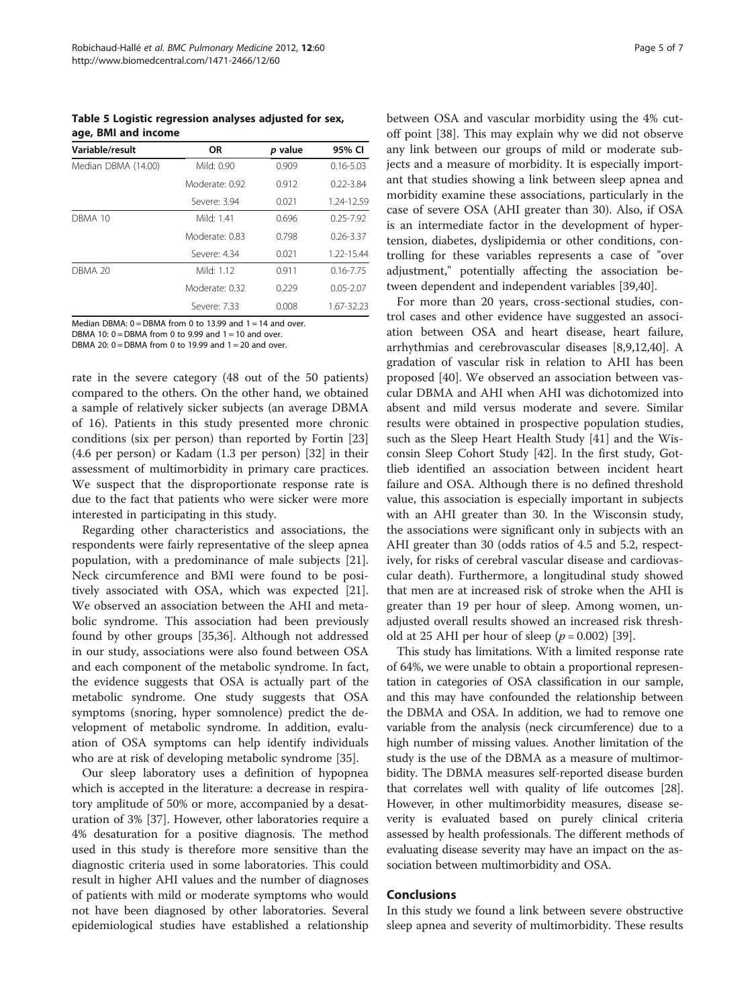<span id="page-4-0"></span>Table 5 Logistic regression analyses adjusted for sex, age, BMI and income

| Variable/result     | OR             | <i>p</i> value | 95% CI        |
|---------------------|----------------|----------------|---------------|
| Median DBMA (14.00) | Mild: 0.90     | 0.909          | $0.16 - 5.03$ |
|                     | Moderate: 0.92 | 0.912          | $0.22 - 3.84$ |
|                     | Severe: 3.94   | 0.021          | 1.24-12.59    |
| DBMA 10             | Mild: 1.41     | 0.696          | $0.25 - 7.92$ |
|                     | Moderate: 0.83 | 0.798          | $0.26 - 3.37$ |
|                     | Severe: 4.34   | 0.021          | 1.22-15.44    |
| <b>DBMA 20</b>      | Mild: 1.12     | 0.911          | $0.16 - 7.75$ |
|                     | Moderate: 0.32 | 0.229          | $0.05 - 2.07$ |
|                     | Severe: 7.33   | 0.008          | 1.67-32.23    |

Median DBMA:  $0 =$  DBMA from 0 to 13.99 and 1 = 14 and over.

DBMA 10:  $0 =$  DBMA from 0 to 9.99 and 1 = 10 and over.

DBMA 20:  $0 =$  DBMA from 0 to 19.99 and 1 = 20 and over.

rate in the severe category (48 out of the 50 patients) compared to the others. On the other hand, we obtained a sample of relatively sicker subjects (an average DBMA of 16). Patients in this study presented more chronic conditions (six per person) than reported by Fortin [[23](#page-5-0)] (4.6 per person) or Kadam (1.3 per person) [[32](#page-5-0)] in their assessment of multimorbidity in primary care practices. We suspect that the disproportionate response rate is due to the fact that patients who were sicker were more interested in participating in this study.

Regarding other characteristics and associations, the respondents were fairly representative of the sleep apnea population, with a predominance of male subjects [\[21](#page-5-0)]. Neck circumference and BMI were found to be positively associated with OSA, which was expected [\[21](#page-5-0)]. We observed an association between the AHI and metabolic syndrome. This association had been previously found by other groups [\[35,36\]](#page-6-0). Although not addressed in our study, associations were also found between OSA and each component of the metabolic syndrome. In fact, the evidence suggests that OSA is actually part of the metabolic syndrome. One study suggests that OSA symptoms (snoring, hyper somnolence) predict the development of metabolic syndrome. In addition, evaluation of OSA symptoms can help identify individuals who are at risk of developing metabolic syndrome [[35\]](#page-6-0).

Our sleep laboratory uses a definition of hypopnea which is accepted in the literature: a decrease in respiratory amplitude of 50% or more, accompanied by a desaturation of 3% [[37](#page-6-0)]. However, other laboratories require a 4% desaturation for a positive diagnosis. The method used in this study is therefore more sensitive than the diagnostic criteria used in some laboratories. This could result in higher AHI values and the number of diagnoses of patients with mild or moderate symptoms who would not have been diagnosed by other laboratories. Several epidemiological studies have established a relationship between OSA and vascular morbidity using the 4% cutoff point [[38\]](#page-6-0). This may explain why we did not observe any link between our groups of mild or moderate subjects and a measure of morbidity. It is especially important that studies showing a link between sleep apnea and morbidity examine these associations, particularly in the case of severe OSA (AHI greater than 30). Also, if OSA is an intermediate factor in the development of hypertension, diabetes, dyslipidemia or other conditions, controlling for these variables represents a case of "over adjustment," potentially affecting the association between dependent and independent variables [[39,40\]](#page-6-0).

For more than 20 years, cross-sectional studies, control cases and other evidence have suggested an association between OSA and heart disease, heart failure, arrhythmias and cerebrovascular diseases [[8,9,12,](#page-5-0)[40\]](#page-6-0). A gradation of vascular risk in relation to AHI has been proposed [[40\]](#page-6-0). We observed an association between vascular DBMA and AHI when AHI was dichotomized into absent and mild versus moderate and severe. Similar results were obtained in prospective population studies, such as the Sleep Heart Health Study [\[41](#page-6-0)] and the Wisconsin Sleep Cohort Study [[42](#page-6-0)]. In the first study, Gottlieb identified an association between incident heart failure and OSA. Although there is no defined threshold value, this association is especially important in subjects with an AHI greater than 30. In the Wisconsin study, the associations were significant only in subjects with an AHI greater than 30 (odds ratios of 4.5 and 5.2, respectively, for risks of cerebral vascular disease and cardiovascular death). Furthermore, a longitudinal study showed that men are at increased risk of stroke when the AHI is greater than 19 per hour of sleep. Among women, unadjusted overall results showed an increased risk threshold at 25 AHI per hour of sleep  $(p = 0.002)$  [[39](#page-6-0)].

This study has limitations. With a limited response rate of 64%, we were unable to obtain a proportional representation in categories of OSA classification in our sample, and this may have confounded the relationship between the DBMA and OSA. In addition, we had to remove one variable from the analysis (neck circumference) due to a high number of missing values. Another limitation of the study is the use of the DBMA as a measure of multimorbidity. The DBMA measures self-reported disease burden that correlates well with quality of life outcomes [[28](#page-5-0)]. However, in other multimorbidity measures, disease severity is evaluated based on purely clinical criteria assessed by health professionals. The different methods of evaluating disease severity may have an impact on the association between multimorbidity and OSA.

#### Conclusions

In this study we found a link between severe obstructive sleep apnea and severity of multimorbidity. These results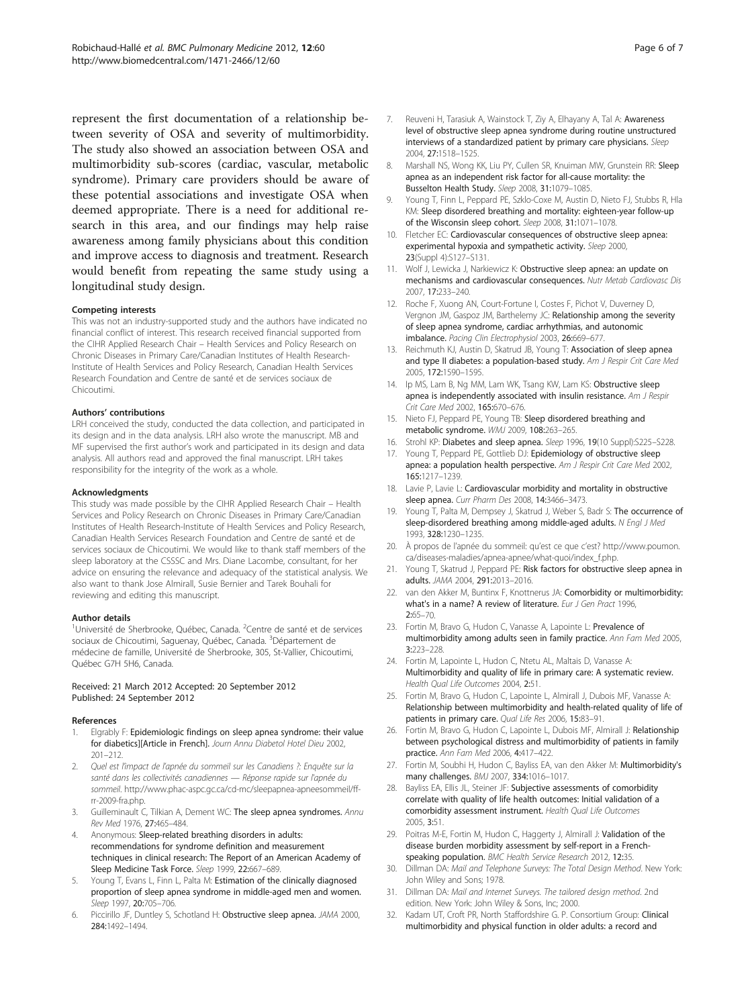<span id="page-5-0"></span>represent the first documentation of a relationship between severity of OSA and severity of multimorbidity. The study also showed an association between OSA and multimorbidity sub-scores (cardiac, vascular, metabolic syndrome). Primary care providers should be aware of these potential associations and investigate OSA when deemed appropriate. There is a need for additional research in this area, and our findings may help raise awareness among family physicians about this condition and improve access to diagnosis and treatment. Research would benefit from repeating the same study using a longitudinal study design.

#### Competing interests

This was not an industry-supported study and the authors have indicated no financial conflict of interest. This research received financial supported from the CIHR Applied Research Chair – Health Services and Policy Research on Chronic Diseases in Primary Care/Canadian Institutes of Health Research-Institute of Health Services and Policy Research, Canadian Health Services Research Foundation and Centre de santé et de services sociaux de Chicoutimi.

#### Authors' contributions

LRH conceived the study, conducted the data collection, and participated in its design and in the data analysis. LRH also wrote the manuscript. MB and MF supervised the first author's work and participated in its design and data analysis. All authors read and approved the final manuscript. LRH takes responsibility for the integrity of the work as a whole.

#### Acknowledgments

This study was made possible by the CIHR Applied Research Chair – Health Services and Policy Research on Chronic Diseases in Primary Care/Canadian Institutes of Health Research-Institute of Health Services and Policy Research, Canadian Health Services Research Foundation and Centre de santé et de services sociaux de Chicoutimi. We would like to thank staff members of the sleep laboratory at the CSSSC and Mrs. Diane Lacombe, consultant, for her advice on ensuring the relevance and adequacy of the statistical analysis. We also want to thank Jose Almirall, Susie Bernier and Tarek Bouhali for reviewing and editing this manuscript.

#### Author details

<sup>1</sup>Université de Sherbrooke, Québec, Canada. <sup>2</sup>Centre de santé et de services sociaux de Chicoutimi, Saguenay, Québec, Canada. <sup>3</sup>Département de médecine de famille, Université de Sherbrooke, 305, St-Vallier, Chicoutimi, Québec G7H 5H6, Canada.

#### Received: 21 March 2012 Accepted: 20 September 2012 Published: 24 September 2012

#### References

- 1. Elgrably F: Epidemiologic findings on sleep apnea syndrome: their value for diabetics][Article in French]. Journ Annu Diabetol Hotel Dieu 2002, 201–212.
- 2. Quel est l'impact de l'apnée du sommeil sur les Canadiens ?: Enquête sur la santé dans les collectivités canadiennes — Réponse rapide sur l'apnée du sommeil. [http://www.phac-aspc.gc.ca/cd-mc/sleepapnea-apneesommeil/ff](http://www.phac-aspc.gc.ca/cd-mc/sleepapnea-apneesommeil/ff-rr-2009-fra.php)[rr-2009-fra.php](http://www.phac-aspc.gc.ca/cd-mc/sleepapnea-apneesommeil/ff-rr-2009-fra.php).
- Guilleminault C, Tilkian A, Dement WC: The sleep apnea syndromes. Annu Rev Med 1976, 27:465–484.
- 4. Anonymous: Sleep-related breathing disorders in adults: recommendations for syndrome definition and measurement techniques in clinical research: The Report of an American Academy of Sleep Medicine Task Force. Sleep 1999, 22:667-689.
- 5. Young T, Evans L, Finn L, Palta M: Estimation of the clinically diagnosed proportion of sleep apnea syndrome in middle-aged men and women. Sleep 1997, 20:705–706.
- 6. Piccirillo JF, Duntley S, Schotland H: Obstructive sleep apnea. JAMA 2000, 284:1492–1494.
- 7. Reuveni H, Tarasiuk A, Wainstock T, Ziy A, Elhayany A, Tal A: Awareness level of obstructive sleep apnea syndrome during routine unstructured interviews of a standardized patient by primary care physicians. Sleep 2004, 27:1518–1525.
- 8. Marshall NS, Wong KK, Liu PY, Cullen SR, Knuiman MW, Grunstein RR: Sleep apnea as an independent risk factor for all-cause mortality: the Busselton Health Study. Sleep 2008, 31:1079–1085.
- 9. Young T, Finn L, Peppard PE, Szklo-Coxe M, Austin D, Nieto FJ, Stubbs R, Hla KM: Sleep disordered breathing and mortality: eighteen-year follow-up of the Wisconsin sleep cohort. Sleep 2008, 31:1071–1078.
- 10. Fletcher EC: Cardiovascular consequences of obstructive sleep apnea: experimental hypoxia and sympathetic activity. Sleep 2000, 23(Suppl 4):S127–S131.
- 11. Wolf J, Lewicka J, Narkiewicz K: Obstructive sleep apnea: an update on mechanisms and cardiovascular consequences. Nutr Metab Cardiovasc Dis 2007, 17:233–240.
- 12. Roche F, Xuong AN, Court-Fortune I, Costes F, Pichot V, Duverney D, Vergnon JM, Gaspoz JM, Barthelemy JC: Relationship among the severity of sleep apnea syndrome, cardiac arrhythmias, and autonomic imbalance. Pacing Clin Electrophysiol 2003, 26:669–677.
- 13. Reichmuth KJ, Austin D, Skatrud JB, Young T: Association of sleep apnea and type II diabetes: a population-based study. Am J Respir Crit Care Med 2005, 172:1590–1595.
- 14. Ip MS, Lam B, Ng MM, Lam WK, Tsang KW, Lam KS: Obstructive sleep apnea is independently associated with insulin resistance. Am J Respir Crit Care Med 2002, 165:670–676.
- 15. Nieto FJ, Peppard PE, Young TB: Sleep disordered breathing and metabolic syndrome. WMJ 2009, 108:263–265.
- 16. Strohl KP: Diabetes and sleep apnea. Sleep 1996, 19(10 Suppl):S225-S228.
- 17. Young T, Peppard PE, Gottlieb DJ: Epidemiology of obstructive sleep apnea: a population health perspective. Am J Respir Crit Care Med 2002, 165:1217–1239.
- 18. Lavie P, Lavie L: Cardiovascular morbidity and mortality in obstructive sleep apnea. Curr Pharm Des 2008, 14:3466–3473.
- 19. Young T, Palta M, Dempsey J, Skatrud J, Weber S, Badr S: The occurrence of sleep-disordered breathing among middle-aged adults. N Engl J Med 1993, 328:1230–1235.
- 20. À propos de l'apnée du sommeil: qu'est ce que c'est? [http://www.poumon.](http://www.poumon.ca/diseases-maladies/apnea-apnee/what-quoi/index_f.php) [ca/diseases-maladies/apnea-apnee/what-quoi/index\\_f.php](http://www.poumon.ca/diseases-maladies/apnea-apnee/what-quoi/index_f.php).
- 21. Young T, Skatrud J, Peppard PE: Risk factors for obstructive sleep apnea in adults. JAMA 2004, 291:2013–2016.
- 22. van den Akker M, Buntinx F, Knottnerus JA: Comorbidity or multimorbidity: what's in a name? A review of literature. Eur J Gen Pract 1996, 2:65–70.
- 23. Fortin M, Bravo G, Hudon C, Vanasse A, Lapointe L: Prevalence of multimorbidity among adults seen in family practice. Ann Fam Med 2005, 3:223–228.
- 24. Fortin M, Lapointe L, Hudon C, Ntetu AL, Maltais D, Vanasse A: Multimorbidity and quality of life in primary care: A systematic review. Health Qual Life Outcomes 2004, 2:51.
- 25. Fortin M, Bravo G, Hudon C, Lapointe L, Almirall J, Dubois MF, Vanasse A: Relationship between multimorbidity and health-related quality of life of patients in primary care. Qual Life Res 2006, 15:83–91.
- 26. Fortin M, Bravo G, Hudon C, Lapointe L, Dubois MF, Almirall J: Relationship between psychological distress and multimorbidity of patients in family practice. Ann Fam Med 2006, 4:417–422.
- 27. Fortin M, Soubhi H, Hudon C, Bayliss EA, van den Akker M: Multimorbidity's many challenges. BMJ 2007, 334:1016–1017.
- 28. Bayliss EA, Ellis JL, Steiner JF: Subjective assessments of comorbidity correlate with quality of life health outcomes: Initial validation of a comorbidity assessment instrument. Health Qual Life Outcomes 2005, 3:51.
- 29. Poitras M-E, Fortin M, Hudon C, Haggerty J, Almirall J: Validation of the disease burden morbidity assessment by self-report in a Frenchspeaking population. BMC Health Service Research 2012, 12:35.
- 30. Dillman DA: Mail and Telephone Surveys: The Total Design Method. New York: John Wiley and Sons; 1978.
- 31. Dillman DA: Mail and Internet Surveys. The tailored design method. 2nd edition. New York: John Wiley & Sons, Inc; 2000.
- 32. Kadam UT, Croft PR, North Staffordshire G. P. Consortium Group: Clinical multimorbidity and physical function in older adults: a record and